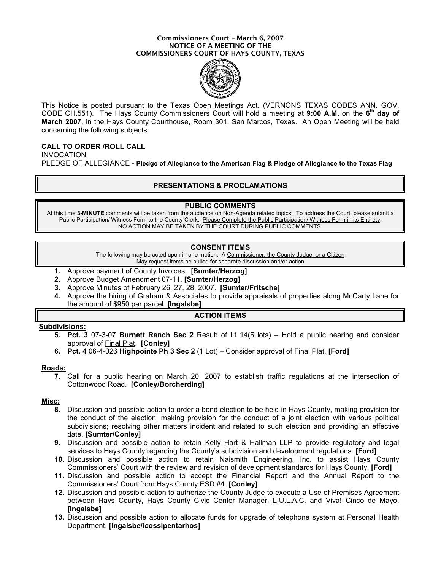#### Commissioners Court – March 6, 2007 NOTICE OF A MEETING OF THE COMMISSIONERS COURT OF HAYS COUNTY, TEXAS



This Notice is posted pursuant to the Texas Open Meetings Act. (VERNONS TEXAS CODES ANN. GOV. CODE CH.551). The Hays County Commissioners Court will hold a meeting at 9:00 A.M. on the 6<sup>th</sup> day of March 2007, in the Hays County Courthouse, Room 301, San Marcos, Texas. An Open Meeting will be held concerning the following subjects:

# CALL TO ORDER /ROLL CALL

INVOCATION PLEDGE OF ALLEGIANCE - Pledge of Allegiance to the American Flag & Pledge of Allegiance to the Texas Flag

## PRESENTATIONS & PROCLAMATIONS

### PUBLIC COMMENTS

At this time 3-MINUTE comments will be taken from the audience on Non-Agenda related topics. To address the Court, please submit a Public Participation/ Witness Form to the County Clerk. Please Complete the Public Participation/ Witness Form in its Entirety. NO ACTION MAY BE TAKEN BY THE COURT DURING PUBLIC COMMENTS.

# CONSENT ITEMS

The following may be acted upon in one motion. A Commissioner, the County Judge, or a Citizen May request items be pulled for separate discussion and/or action

- 1. Approve payment of County Invoices. [Sumter/Herzog]
- 2. Approve Budget Amendment 07-11. [Sumter/Herzog]
- 3. Approve Minutes of February 26, 27, 28, 2007. [Sumter/Fritsche]
- 4. Approve the hiring of Graham & Associates to provide appraisals of properties along McCarty Lane for the amount of \$950 per parcel. [Ingalsbe]

## ACTION ITEMS

## Subdivisions:

- 5. Pct. 3 07-3-07 Burnett Ranch Sec 2 Resub of Lt 14(5 lots) Hold a public hearing and consider approval of Final Plat. [Conley]
- 6. Pct. 4 06-4-026 Highpointe Ph 3 Sec 2 (1 Lot) Consider approval of Final Plat. [Ford]

#### Roads:

7. Call for a public hearing on March 20, 2007 to establish traffic regulations at the intersection of Cottonwood Road. [Conley/Borcherding]

## Misc:

- 8. Discussion and possible action to order a bond election to be held in Hays County, making provision for the conduct of the election; making provision for the conduct of a joint election with various political subdivisions; resolving other matters incident and related to such election and providing an effective date. [Sumter/Conley]
- 9. Discussion and possible action to retain Kelly Hart & Hallman LLP to provide regulatory and legal services to Hays County regarding the County's subdivision and development regulations. **[Ford]**
- 10. Discussion and possible action to retain Naismith Engineering, Inc. to assist Hays County Commissioners' Court with the review and revision of development standards for Hays County. [Ford]
- 11. Discussion and possible action to accept the Financial Report and the Annual Report to the Commissioners' Court from Hays County ESD #4. [Conley]
- 12. Discussion and possible action to authorize the County Judge to execute a Use of Premises Agreement between Hays County, Hays County Civic Center Manager, L.U.L.A.C. and Viva! Cinco de Mayo. [Ingalsbe]
- 13. Discussion and possible action to allocate funds for upgrade of telephone system at Personal Health Department. [Ingalsbe/Icossipentarhos]